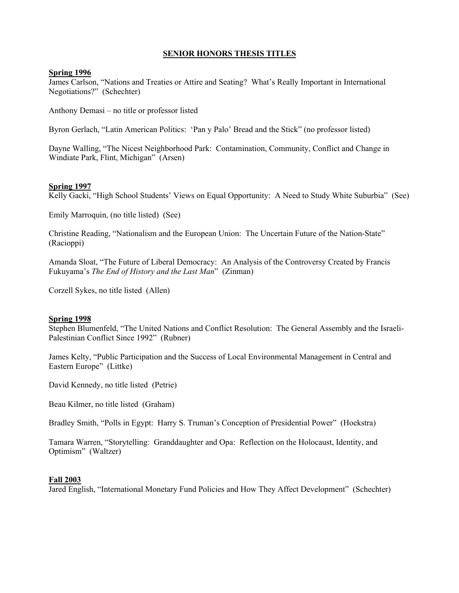# **SENIOR HONORS THESIS TITLES**

#### **Spring 1996**

James Carlson, "Nations and Treaties or Attire and Seating? What's Really Important in International Negotiations?" (Schechter)

Anthony Demasi – no title or professor listed

Byron Gerlach, "Latin American Politics: 'Pan y Palo' Bread and the Stick" (no professor listed)

Dayne Walling, "The Nicest Neighborhood Park: Contamination, Community, Conflict and Change in Windiate Park, Flint, Michigan" (Arsen)

#### **Spring 1997**

Kelly Gacki, "High School Students' Views on Equal Opportunity: A Need to Study White Suburbia" (See)

Emily Marroquin, (no title listed) (See)

Christine Reading, "Nationalism and the European Union: The Uncertain Future of the Nation-State" (Racioppi)

Amanda Sloat, "The Future of Liberal Democracy: An Analysis of the Controversy Created by Francis Fukuyama's *The End of History and the Last Man*" (Zinman)

Corzell Sykes, no title listed (Allen)

#### **Spring 1998**

Stephen Blumenfeld, "The United Nations and Conflict Resolution: The General Assembly and the Israeli-Palestinian Conflict Since 1992" (Rubner)

James Kelty, "Public Participation and the Success of Local Environmental Management in Central and Eastern Europe" (Littke)

David Kennedy, no title listed (Petrie)

Beau Kilmer, no title listed (Graham)

Bradley Smith, "Polls in Egypt: Harry S. Truman's Conception of Presidential Power" (Hoekstra)

Tamara Warren, "Storytelling: Granddaughter and Opa: Reflection on the Holocaust, Identity, and Optimism" (Waltzer)

#### **Fall 2003**

Jared English, "International Monetary Fund Policies and How They Affect Development" (Schechter)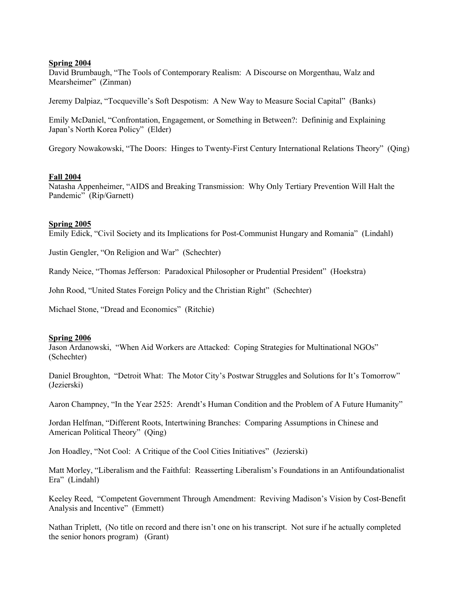David Brumbaugh, "The Tools of Contemporary Realism: A Discourse on Morgenthau, Walz and Mearsheimer" (Zinman)

Jeremy Dalpiaz, "Tocqueville's Soft Despotism: A New Way to Measure Social Capital" (Banks)

Emily McDaniel, "Confrontation, Engagement, or Something in Between?: Defininig and Explaining Japan's North Korea Policy" (Elder)

Gregory Nowakowski, "The Doors: Hinges to Twenty-First Century International Relations Theory" (Qing)

#### **Fall 2004**

Natasha Appenheimer, "AIDS and Breaking Transmission: Why Only Tertiary Prevention Will Halt the Pandemic" (Rip/Garnett)

#### **Spring 2005**

Emily Edick, "Civil Society and its Implications for Post-Communist Hungary and Romania" (Lindahl)

Justin Gengler, "On Religion and War" (Schechter)

Randy Neice, "Thomas Jefferson: Paradoxical Philosopher or Prudential President" (Hoekstra)

John Rood, "United States Foreign Policy and the Christian Right" (Schechter)

Michael Stone, "Dread and Economics" (Ritchie)

#### **Spring 2006**

Jason Ardanowski, "When Aid Workers are Attacked: Coping Strategies for Multinational NGOs" (Schechter)

Daniel Broughton, "Detroit What: The Motor City's Postwar Struggles and Solutions for It's Tomorrow" (Jezierski)

Aaron Champney, "In the Year 2525: Arendt's Human Condition and the Problem of A Future Humanity"

Jordan Helfman, "Different Roots, Intertwining Branches: Comparing Assumptions in Chinese and American Political Theory" (Qing)

Jon Hoadley, "Not Cool: A Critique of the Cool Cities Initiatives" (Jezierski)

Matt Morley, "Liberalism and the Faithful: Reasserting Liberalism's Foundations in an Antifoundationalist Era" (Lindahl)

Keeley Reed, "Competent Government Through Amendment: Reviving Madison's Vision by Cost-Benefit Analysis and Incentive" (Emmett)

Nathan Triplett, (No title on record and there isn't one on his transcript. Not sure if he actually completed the senior honors program) (Grant)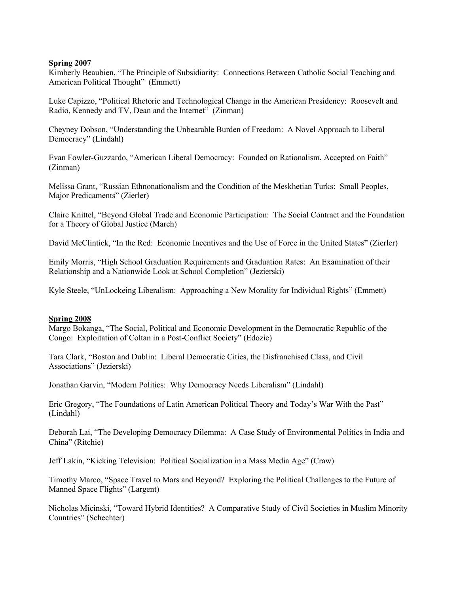Kimberly Beaubien, "The Principle of Subsidiarity: Connections Between Catholic Social Teaching and American Political Thought" (Emmett)

Luke Capizzo, "Political Rhetoric and Technological Change in the American Presidency: Roosevelt and Radio, Kennedy and TV, Dean and the Internet" (Zinman)

Cheyney Dobson, "Understanding the Unbearable Burden of Freedom: A Novel Approach to Liberal Democracy" (Lindahl)

Evan Fowler-Guzzardo, "American Liberal Democracy: Founded on Rationalism, Accepted on Faith" (Zinman)

Melissa Grant, "Russian Ethnonationalism and the Condition of the Meskhetian Turks: Small Peoples, Major Predicaments" (Zierler)

Claire Knittel, "Beyond Global Trade and Economic Participation: The Social Contract and the Foundation for a Theory of Global Justice (March)

David McClintick, "In the Red: Economic Incentives and the Use of Force in the United States" (Zierler)

Emily Morris, "High School Graduation Requirements and Graduation Rates: An Examination of their Relationship and a Nationwide Look at School Completion" (Jezierski)

Kyle Steele, "UnLockeing Liberalism: Approaching a New Morality for Individual Rights" (Emmett)

### **Spring 2008**

Margo Bokanga, "The Social, Political and Economic Development in the Democratic Republic of the Congo: Exploitation of Coltan in a Post-Conflict Society" (Edozie)

Tara Clark, "Boston and Dublin: Liberal Democratic Cities, the Disfranchised Class, and Civil Associations" (Jezierski)

Jonathan Garvin, "Modern Politics: Why Democracy Needs Liberalism" (Lindahl)

Eric Gregory, "The Foundations of Latin American Political Theory and Today's War With the Past" (Lindahl)

Deborah Lai, "The Developing Democracy Dilemma: A Case Study of Environmental Politics in India and China" (Ritchie)

Jeff Lakin, "Kicking Television: Political Socialization in a Mass Media Age" (Craw)

Timothy Marco, "Space Travel to Mars and Beyond? Exploring the Political Challenges to the Future of Manned Space Flights" (Largent)

Nicholas Micinski, "Toward Hybrid Identities? A Comparative Study of Civil Societies in Muslim Minority Countries" (Schechter)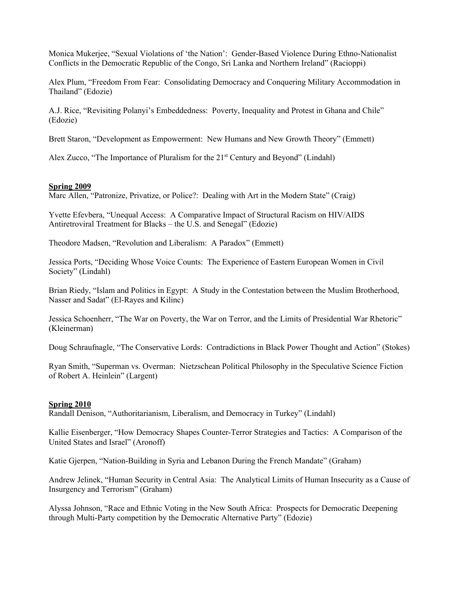Monica Mukerjee, "Sexual Violations of 'the Nation': Gender-Based Violence During Ethno-Nationalist Conflicts in the Democratic Republic of the Congo, Sri Lanka and Northern Ireland" (Racioppi)

Alex Plum, "Freedom From Fear: Consolidating Democracy and Conquering Military Accommodation in Thailand" (Edozie)

A.J. Rice, "Revisiting Polanyi's Embeddedness: Poverty, Inequality and Protest in Ghana and Chile" (Edozie)

Brett Staron, "Development as Empowerment: New Humans and New Growth Theory" (Emmett)

Alex Zucco, "The Importance of Pluralism for the  $21<sup>st</sup>$  Century and Beyond" (Lindahl)

#### **Spring 2009**

Marc Allen, "Patronize, Privatize, or Police?: Dealing with Art in the Modern State" (Craig)

Yvette Efevbera, "Unequal Access: A Comparative Impact of Structural Racism on HIV/AIDS Antiretroviral Treatment for Blacks – the U.S. and Senegal" (Edozie)

Theodore Madsen, "Revolution and Liberalism: A Paradox" (Emmett)

Jessica Ports, "Deciding Whose Voice Counts: The Experience of Eastern European Women in Civil Society" (Lindahl)

Brian Riedy, "Islam and Politics in Egypt: A Study in the Contestation between the Muslim Brotherhood, Nasser and Sadat" (El-Rayes and Kilinc)

Jessica Schoenherr, "The War on Poverty, the War on Terror, and the Limits of Presidential War Rhetoric" (Kleinerman)

Doug Schraufnagle, "The Conservative Lords: Contradictions in Black Power Thought and Action" (Stokes)

Ryan Smith, "Superman vs. Overman: Nietzschean Political Philosophy in the Speculative Science Fiction of Robert A. Heinlein" (Largent)

#### **Spring 2010**

Randall Denison, "Authoritarianism, Liberalism, and Democracy in Turkey" (Lindahl)

Kallie Eisenberger, "How Democracy Shapes Counter-Terror Strategies and Tactics: A Comparison of the United States and Israel" (Aronoff)

Katie Gjerpen, "Nation-Building in Syria and Lebanon During the French Mandate" (Graham)

Andrew Jelinek, "Human Security in Central Asia: The Analytical Limits of Human Insecurity as a Cause of Insurgency and Terrorism" (Graham)

Alyssa Johnson, "Race and Ethnic Voting in the New South Africa: Prospects for Democratic Deepening through Multi-Party competition by the Democratic Alternative Party" (Edozie)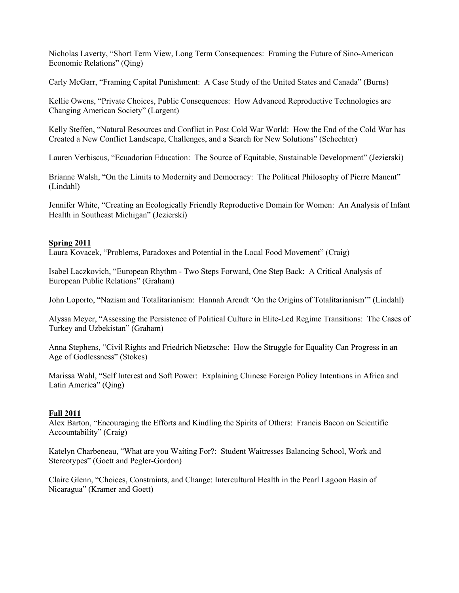Nicholas Laverty, "Short Term View, Long Term Consequences: Framing the Future of Sino-American Economic Relations" (Qing)

Carly McGarr, "Framing Capital Punishment: A Case Study of the United States and Canada" (Burns)

Kellie Owens, "Private Choices, Public Consequences: How Advanced Reproductive Technologies are Changing American Society" (Largent)

Kelly Steffen, "Natural Resources and Conflict in Post Cold War World: How the End of the Cold War has Created a New Conflict Landscape, Challenges, and a Search for New Solutions" (Schechter)

Lauren Verbiscus, "Ecuadorian Education: The Source of Equitable, Sustainable Development" (Jezierski)

Brianne Walsh, "On the Limits to Modernity and Democracy: The Political Philosophy of Pierre Manent" (Lindahl)

Jennifer White, "Creating an Ecologically Friendly Reproductive Domain for Women: An Analysis of Infant Health in Southeast Michigan" (Jezierski)

## **Spring 2011**

Laura Kovacek, "Problems, Paradoxes and Potential in the Local Food Movement" (Craig)

Isabel Laczkovich, "European Rhythm - Two Steps Forward, One Step Back: A Critical Analysis of European Public Relations" (Graham)

John Loporto, "Nazism and Totalitarianism: Hannah Arendt 'On the Origins of Totalitarianism'" (Lindahl)

Alyssa Meyer, "Assessing the Persistence of Political Culture in Elite-Led Regime Transitions: The Cases of Turkey and Uzbekistan" (Graham)

Anna Stephens, "Civil Rights and Friedrich Nietzsche: How the Struggle for Equality Can Progress in an Age of Godlessness" (Stokes)

Marissa Wahl, "Self Interest and Soft Power: Explaining Chinese Foreign Policy Intentions in Africa and Latin America" (Qing)

# **Fall 2011**

Alex Barton, "Encouraging the Efforts and Kindling the Spirits of Others: Francis Bacon on Scientific Accountability" (Craig)

Katelyn Charbeneau, "What are you Waiting For?: Student Waitresses Balancing School, Work and Stereotypes" (Goett and Pegler-Gordon)

Claire Glenn, "Choices, Constraints, and Change: Intercultural Health in the Pearl Lagoon Basin of Nicaragua" (Kramer and Goett)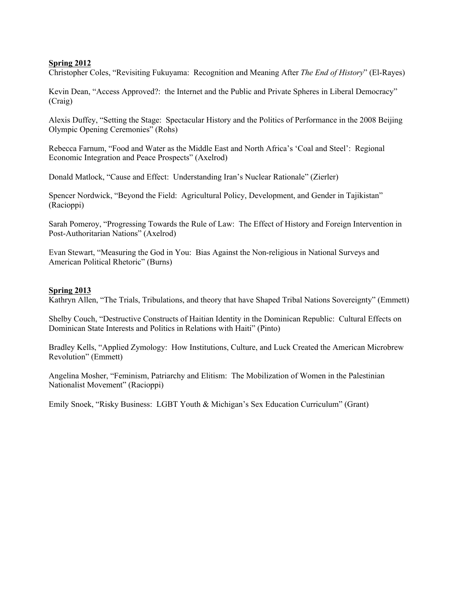Christopher Coles, "Revisiting Fukuyama: Recognition and Meaning After *The End of History*" (El-Rayes)

Kevin Dean, "Access Approved?: the Internet and the Public and Private Spheres in Liberal Democracy" (Craig)

Alexis Duffey, "Setting the Stage: Spectacular History and the Politics of Performance in the 2008 Beijing Olympic Opening Ceremonies" (Rohs)

Rebecca Farnum, "Food and Water as the Middle East and North Africa's 'Coal and Steel': Regional Economic Integration and Peace Prospects" (Axelrod)

Donald Matlock, "Cause and Effect: Understanding Iran's Nuclear Rationale" (Zierler)

Spencer Nordwick, "Beyond the Field: Agricultural Policy, Development, and Gender in Tajikistan" (Racioppi)

Sarah Pomeroy, "Progressing Towards the Rule of Law: The Effect of History and Foreign Intervention in Post-Authoritarian Nations" (Axelrod)

Evan Stewart, "Measuring the God in You: Bias Against the Non-religious in National Surveys and American Political Rhetoric" (Burns)

### **Spring 2013**

Kathryn Allen, "The Trials, Tribulations, and theory that have Shaped Tribal Nations Sovereignty" (Emmett)

Shelby Couch, "Destructive Constructs of Haitian Identity in the Dominican Republic: Cultural Effects on Dominican State Interests and Politics in Relations with Haiti" (Pinto)

Bradley Kells, "Applied Zymology: How Institutions, Culture, and Luck Created the American Microbrew Revolution" (Emmett)

Angelina Mosher, "Feminism, Patriarchy and Elitism: The Mobilization of Women in the Palestinian Nationalist Movement" (Racioppi)

Emily Snoek, "Risky Business: LGBT Youth & Michigan's Sex Education Curriculum" (Grant)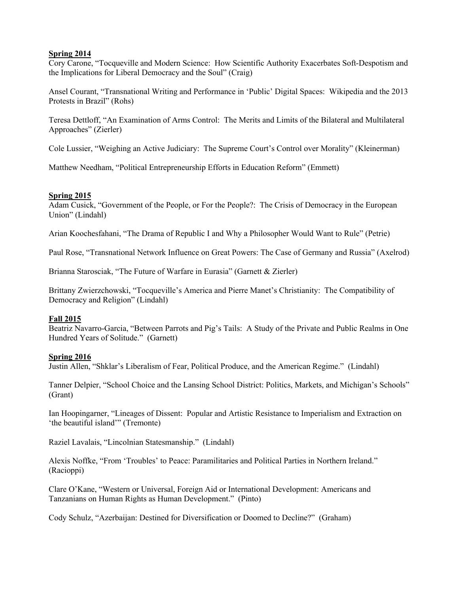Cory Carone, "Tocqueville and Modern Science: How Scientific Authority Exacerbates Soft-Despotism and the Implications for Liberal Democracy and the Soul" (Craig)

Ansel Courant, "Transnational Writing and Performance in 'Public' Digital Spaces: Wikipedia and the 2013 Protests in Brazil" (Rohs)

Teresa Dettloff, "An Examination of Arms Control: The Merits and Limits of the Bilateral and Multilateral Approaches" (Zierler)

Cole Lussier, "Weighing an Active Judiciary: The Supreme Court's Control over Morality" (Kleinerman)

Matthew Needham, "Political Entrepreneurship Efforts in Education Reform" (Emmett)

## **Spring 2015**

Adam Cusick, "Government of the People, or For the People?: The Crisis of Democracy in the European Union" (Lindahl)

Arian Koochesfahani, "The Drama of Republic I and Why a Philosopher Would Want to Rule" (Petrie)

Paul Rose, "Transnational Network Influence on Great Powers: The Case of Germany and Russia" (Axelrod)

Brianna Starosciak, "The Future of Warfare in Eurasia" (Garnett & Zierler)

Brittany Zwierzchowski, "Tocqueville's America and Pierre Manet's Christianity: The Compatibility of Democracy and Religion" (Lindahl)

### **Fall 2015**

Beatriz Navarro-Garcia, "Between Parrots and Pig's Tails: A Study of the Private and Public Realms in One Hundred Years of Solitude." (Garnett)

# **Spring 2016**

Justin Allen, "Shklar's Liberalism of Fear, Political Produce, and the American Regime." (Lindahl)

Tanner Delpier, "School Choice and the Lansing School District: Politics, Markets, and Michigan's Schools" (Grant)

Ian Hoopingarner, "Lineages of Dissent: Popular and Artistic Resistance to Imperialism and Extraction on 'the beautiful island'" (Tremonte)

Raziel Lavalais, "Lincolnian Statesmanship." (Lindahl)

Alexis Noffke, "From 'Troubles' to Peace: Paramilitaries and Political Parties in Northern Ireland." (Racioppi)

Clare O'Kane, "Western or Universal, Foreign Aid or International Development: Americans and Tanzanians on Human Rights as Human Development." (Pinto)

Cody Schulz, "Azerbaijan: Destined for Diversification or Doomed to Decline?" (Graham)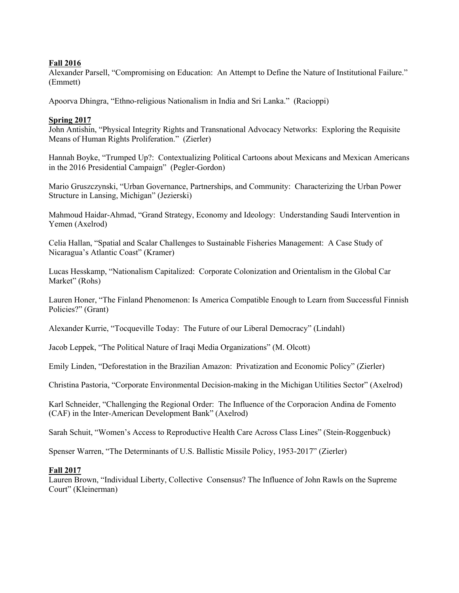## **Fall 2016**

Alexander Parsell, "Compromising on Education: An Attempt to Define the Nature of Institutional Failure." (Emmett)

Apoorva Dhingra, "Ethno-religious Nationalism in India and Sri Lanka." (Racioppi)

## **Spring 2017**

John Antishin, "Physical Integrity Rights and Transnational Advocacy Networks: Exploring the Requisite Means of Human Rights Proliferation." (Zierler)

Hannah Boyke, "Trumped Up?: Contextualizing Political Cartoons about Mexicans and Mexican Americans in the 2016 Presidential Campaign" (Pegler-Gordon)

Mario Gruszczynski, "Urban Governance, Partnerships, and Community: Characterizing the Urban Power Structure in Lansing, Michigan" (Jezierski)

Mahmoud Haidar-Ahmad, "Grand Strategy, Economy and Ideology: Understanding Saudi Intervention in Yemen (Axelrod)

Celia Hallan, "Spatial and Scalar Challenges to Sustainable Fisheries Management: A Case Study of Nicaragua's Atlantic Coast" (Kramer)

Lucas Hesskamp, "Nationalism Capitalized: Corporate Colonization and Orientalism in the Global Car Market" (Rohs)

Lauren Honer, "The Finland Phenomenon: Is America Compatible Enough to Learn from Successful Finnish Policies?" (Grant)

Alexander Kurrie, "Tocqueville Today: The Future of our Liberal Democracy" (Lindahl)

Jacob Leppek, "The Political Nature of Iraqi Media Organizations" (M. Olcott)

Emily Linden, "Deforestation in the Brazilian Amazon: Privatization and Economic Policy" (Zierler)

Christina Pastoria, "Corporate Environmental Decision-making in the Michigan Utilities Sector" (Axelrod)

Karl Schneider, "Challenging the Regional Order: The Influence of the Corporacion Andina de Fomento (CAF) in the Inter-American Development Bank" (Axelrod)

Sarah Schuit, "Women's Access to Reproductive Health Care Across Class Lines" (Stein-Roggenbuck)

Spenser Warren, "The Determinants of U.S. Ballistic Missile Policy, 1953-2017" (Zierler)

### **Fall 2017**

Lauren Brown, "Individual Liberty, Collective Consensus? The Influence of John Rawls on the Supreme Court" (Kleinerman)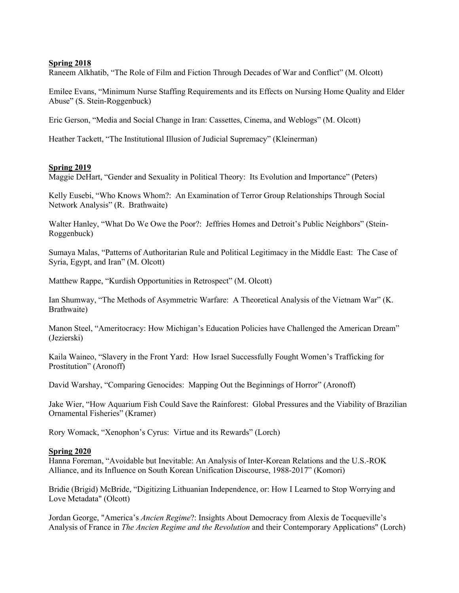Raneem Alkhatib, "The Role of Film and Fiction Through Decades of War and Conflict" (M. Olcott)

Emilee Evans, "Minimum Nurse Staffing Requirements and its Effects on Nursing Home Quality and Elder Abuse" (S. Stein-Roggenbuck)

Eric Gerson, "Media and Social Change in Iran: Cassettes, Cinema, and Weblogs" (M. Olcott)

Heather Tackett, "The Institutional Illusion of Judicial Supremacy" (Kleinerman)

#### **Spring 2019**

Maggie DeHart, "Gender and Sexuality in Political Theory: Its Evolution and Importance" (Peters)

Kelly Eusebi, "Who Knows Whom?: An Examination of Terror Group Relationships Through Social Network Analysis" (R. Brathwaite)

Walter Hanley, "What Do We Owe the Poor?: Jeffries Homes and Detroit's Public Neighbors" (Stein-Roggenbuck)

Sumaya Malas, "Patterns of Authoritarian Rule and Political Legitimacy in the Middle East: The Case of Syria, Egypt, and Iran" (M. Olcott)

Matthew Rappe, "Kurdish Opportunities in Retrospect" (M. Olcott)

Ian Shumway, "The Methods of Asymmetric Warfare: A Theoretical Analysis of the Vietnam War" (K. Brathwaite)

Manon Steel, "Ameritocracy: How Michigan's Education Policies have Challenged the American Dream" (Jezierski)

Kaila Waineo, "Slavery in the Front Yard: How Israel Successfully Fought Women's Trafficking for Prostitution" (Aronoff)

David Warshay, "Comparing Genocides: Mapping Out the Beginnings of Horror" (Aronoff)

Jake Wier, "How Aquarium Fish Could Save the Rainforest: Global Pressures and the Viability of Brazilian Ornamental Fisheries" (Kramer)

Rory Womack, "Xenophon's Cyrus: Virtue and its Rewards" (Lorch)

#### **Spring 2020**

Hanna Foreman, "Avoidable but Inevitable: An Analysis of Inter-Korean Relations and the U.S.-ROK Alliance, and its Influence on South Korean Unification Discourse, 1988-2017" (Komori)

Bridie (Brigid) McBride, "Digitizing Lithuanian Independence, or: How I Learned to Stop Worrying and Love Metadata" (Olcott)

Jordan George, "America's *Ancien Regime*?: Insights About Democracy from Alexis de Tocqueville's Analysis of France in *The Ancien Regime and the Revolution* and their Contemporary Applications" (Lorch)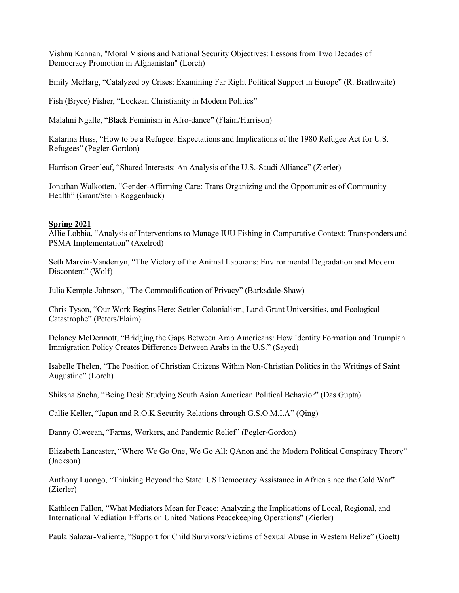Vishnu Kannan, "Moral Visions and National Security Objectives: Lessons from Two Decades of Democracy Promotion in Afghanistan" (Lorch)

Emily McHarg, "Catalyzed by Crises: Examining Far Right Political Support in Europe" (R. Brathwaite)

Fish (Bryce) Fisher, "Lockean Christianity in Modern Politics"

Malahni Ngalle, "Black Feminism in Afro-dance" (Flaim/Harrison)

Katarina Huss, "How to be a Refugee: Expectations and Implications of the 1980 Refugee Act for U.S. Refugees" (Pegler-Gordon)

Harrison Greenleaf, "Shared Interests: An Analysis of the U.S.-Saudi Alliance" (Zierler)

Jonathan Walkotten, "Gender-Affirming Care: Trans Organizing and the Opportunities of Community Health" (Grant/Stein-Roggenbuck)

#### **Spring 2021**

Allie Lobbia, "Analysis of Interventions to Manage IUU Fishing in Comparative Context: Transponders and PSMA Implementation" (Axelrod)

Seth Marvin-Vanderryn, "The Victory of the Animal Laborans: Environmental Degradation and Modern Discontent" (Wolf)

Julia Kemple-Johnson, "The Commodification of Privacy" (Barksdale-Shaw)

Chris Tyson, "Our Work Begins Here: Settler Colonialism, Land-Grant Universities, and Ecological Catastrophe" (Peters/Flaim)

Delaney McDermott, "Bridging the Gaps Between Arab Americans: How Identity Formation and Trumpian Immigration Policy Creates Difference Between Arabs in the U.S." (Sayed)

Isabelle Thelen, "The Position of Christian Citizens Within Non-Christian Politics in the Writings of Saint Augustine" (Lorch)

Shiksha Sneha, "Being Desi: Studying South Asian American Political Behavior" (Das Gupta)

Callie Keller, "Japan and R.O.K Security Relations through G.S.O.M.I.A" (Qing)

Danny Olweean, "Farms, Workers, and Pandemic Relief" (Pegler-Gordon)

Elizabeth Lancaster, "Where We Go One, We Go All: QAnon and the Modern Political Conspiracy Theory" (Jackson)

Anthony Luongo, "Thinking Beyond the State: US Democracy Assistance in Africa since the Cold War" (Zierler)

Kathleen Fallon, "What Mediators Mean for Peace: Analyzing the Implications of Local, Regional, and International Mediation Efforts on United Nations Peacekeeping Operations" (Zierler)

Paula Salazar-Valiente, "Support for Child Survivors/Victims of Sexual Abuse in Western Belize" (Goett)